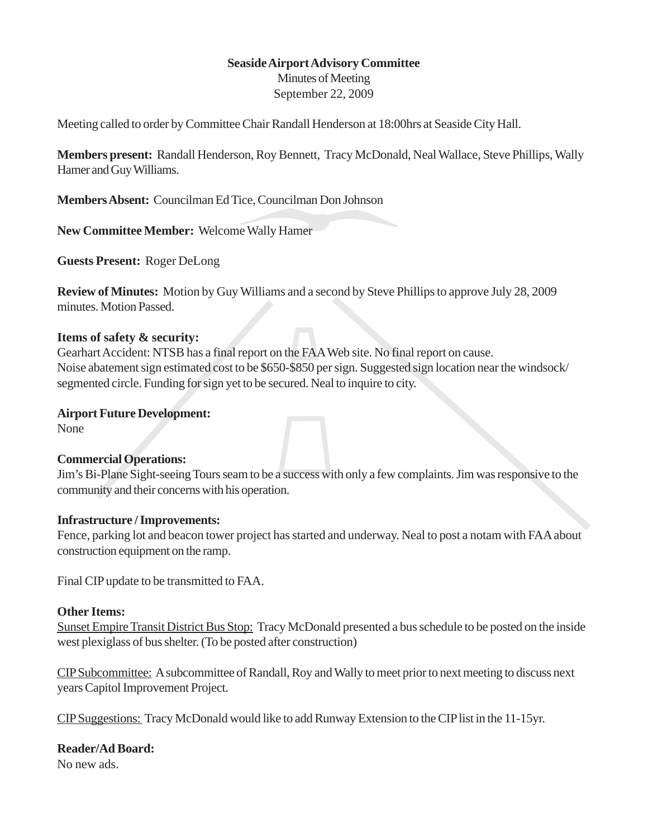# **Seaside Airport Advisory Committee**

Minutes of Meeting September 22, 2009

Meeting called to order by Committee Chair Randall Henderson at 18:00hrs at Seaside City Hall.

**Members present:** Randall Henderson, Roy Bennett, Tracy McDonald, Neal Wallace, Steve Phillips, Wally Hamer and Guy Williams.

**Members Absent:** Councilman Ed Tice, Councilman Don Johnson

**New Committee Member:** Welcome Wally Hamer

**Guests Present:** Roger DeLong

**Review of Minutes:** Motion by Guy Williams and a second by Steve Phillips to approve July 28, 2009 minutes. Motion Passed.

## **Items of safety & security:**

Gearhart Accident: NTSB has a final report on the FAA Web site. No final report on cause. Noise abatement sign estimated cost to be \$650-\$850 per sign. Suggested sign location near the windsock/ segmented circle. Funding for sign yet to be secured. Neal to inquire to city.

### **Airport Future Development:**

None

## **Commercial Operations:**

Jim's Bi-Plane Sight-seeing Tours seam to be a success with only a few complaints. Jim was responsive to the community and their concerns with his operation.

## **Infrastructure / Improvements:**

Fence, parking lot and beacon tower project has started and underway. Neal to post a notam with FAA about construction equipment on the ramp.

Final CIP update to be transmitted to FAA.

## **Other Items:**

Sunset Empire Transit District Bus Stop: Tracy McDonald presented a bus schedule to be posted on the inside west plexiglass of bus shelter. (To be posted after construction)

CIP Subcommittee: A subcommittee of Randall, Roy and Wally to meet prior to next meeting to discuss next years Capitol Improvement Project.

CIP Suggestions: Tracy McDonald would like to add Runway Extension to the CIP list in the 11-15yr.

## **Reader/Ad Board:**

No new ads.